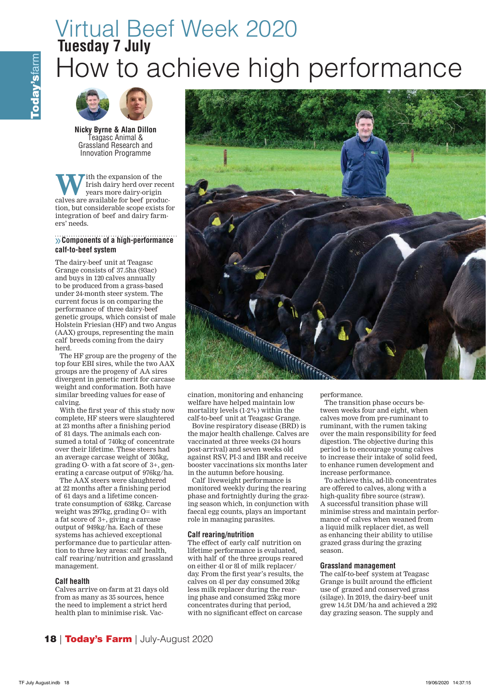# Virtual Beef Week 2020 How to achieve high performance Tuesday 7 July



**Nicky Byrne & Alan Dillon**  Teagasc Animal & Grassland Research and Innovation Programme

W lih the expansion of the<br>
years more dairy-origin<br> **Conserved Alliensis of the Second**<br> **Conserved Alliensis of the Second** Irish dairy herd over recent years more dairy-origin calves are available for beef production, but considerable scope exists for integration of beef and dairy farmers' needs.

# $\rightarrow$  **Components of a high-performance** calf-to-beef system

The dairy-beef unit at Teagasc Grange consists of 37.5ha (93ac) and buys in 120 calves annually to be produced from a grass-based under 24-month steer system. The current focus is on comparing the performance of three dairy-beef genetic groups, which consist of male Holstein Friesian (HF) and two Angus (AAX) groups, representing the main calf breeds coming from the dairy herd.

The HF group are the progeny of the top four EBI sires, while the two AAX groups are the progeny of AA sires divergent in genetic merit for carcase weight and conformation. Both have similar breeding values for ease of calving.

With the first year of this study now complete, HF steers were slaughtered at 23 months after a finishing period of 81 days. The animals each consumed a total of 740kg of concentrate over their lifetime. These steers had an average carcase weight of 305kg, grading O- with a fat score of 3+, generating a carcase output of 976kg/ha.

The AAX steers were slaughtered at 22 months after a finishing period of 61 days and a lifetime concentrate consumption of 638kg. Carcase weight was 297kg, grading O= with a fat score of 3+, giving a carcase output of 949kg/ha. Each of these systems has achieved exceptional performance due to particular attention to three key areas: calf health, calf rearing/nutrition and grassland management.

# **Calf health**

Calves arrive on-farm at 21 days old from as many as 35 sources, hence the need to implement a strict herd health plan to minimise risk. Vac-



cination, monitoring and enhancing welfare have helped maintain low mortality levels (1-2%) within the calf-to-beef unit at Teagasc Grange.

Bovine respiratory disease (BRD) is the major health challenge. Calves are vaccinated at three weeks (24 hours post-arrival) and seven weeks old against RSV, PI-3 and IBR and receive booster vaccinations six months later in the autumn before housing.

Calf liveweight performance is monitored weekly during the rearing phase and fortnightly during the grazing season which, in conjunction with faecal egg counts, plays an important role in managing parasites.

## **Calf rearing/nutrition**

The effect of early calf nutrition on lifetime performance is evaluated, with half of the three groups reared on either 4l or 8l of milk replacer/ day. From the first year's results, the calves on 4l per day consumed 20kg less milk replacer during the rearing phase and consumed 25kg more concentrates during that period, with no significant effect on carcase

performance.

The transition phase occurs between weeks four and eight, when calves move from pre-ruminant to ruminant, with the rumen taking over the main responsibility for feed digestion. The objective during this period is to encourage young calves to increase their intake of solid feed, to enhance rumen development and increase performance.

To achieve this, ad-lib concentrates are offered to calves, along with a high-quality fibre source (straw). A successful transition phase will minimise stress and maintain performance of calves when weaned from a liquid milk replacer diet, as well as enhancing their ability to utilise grazed grass during the grazing season.

#### **Grassland management**

The calf-to-beef system at Teagasc Grange is built around the efficient use of grazed and conserved grass (silage). In 2019, the dairy-beef unit grew 14.5t DM/ha and achieved a 292 day grazing season. The supply and